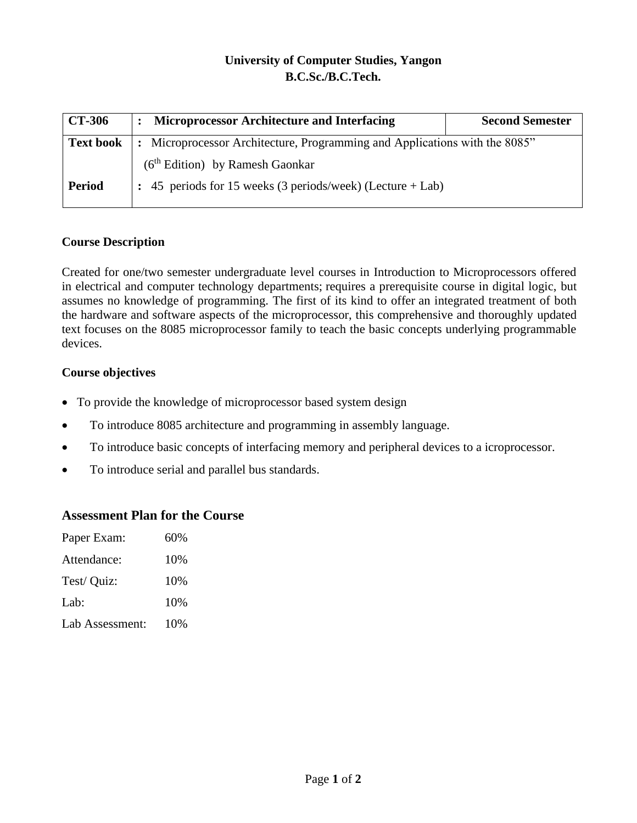## **University of Computer Studies, Yangon B.C.Sc./B.C.Tech.**

| <b>CT-306</b>    | <b>Microprocessor Architecture and Interfacing</b>                         | <b>Second Semester</b> |  |  |  |  |
|------------------|----------------------------------------------------------------------------|------------------------|--|--|--|--|
| <b>Text book</b> | : Microprocessor Architecture, Programming and Applications with the 8085" |                        |  |  |  |  |
|                  | $(6th Edition)$ by Ramesh Gaonkar                                          |                        |  |  |  |  |
| <b>Period</b>    | $\div$ 45 periods for 15 weeks (3 periods/week) (Lecture + Lab)            |                        |  |  |  |  |

### **Course Description**

Created for one/two semester undergraduate level courses in Introduction to Microprocessors offered in electrical and computer technology departments; requires a prerequisite course in digital logic, but assumes no knowledge of programming. The first of its kind to offer an integrated treatment of both the hardware and software aspects of the microprocessor, this comprehensive and thoroughly updated text focuses on the 8085 microprocessor family to teach the basic concepts underlying programmable devices.

#### **Course objectives**

- To provide the knowledge of microprocessor based system design
- To introduce 8085 architecture and programming in assembly language.
- To introduce basic concepts of interfacing memory and peripheral devices to a icroprocessor.
- To introduce serial and parallel bus standards.

#### **Assessment Plan for the Course**

| Paper Exam:     | 60% |
|-----------------|-----|
| Attendance:     | 10% |
| Test/ Quiz:     | 10% |
| Lab:            | 10% |
| Lab Assessment: | 10% |